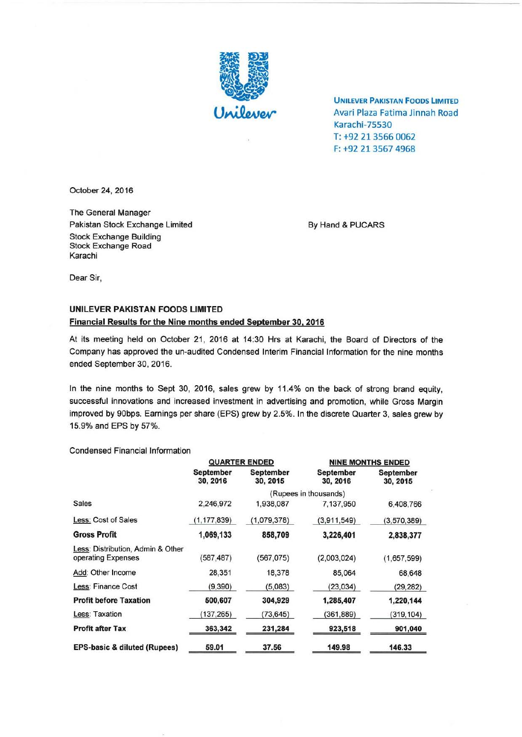

**UNILEVER PAKISTAN FOODS LIMITED** Avari Plaza Fatima Jinnah Road Karachi-7SS30 T: +92 21 3566 0062 F: +92 21 3567 4968

October 24, 2016

The General Manager Pakistan Stock Exchange Limited By Hand & PUCARS Stock Exchange Building Stock Exchange Road Karachi

Dear Sir,

## UNILEVER PAKISTAN FOODS LIMITED Financial Results for the Nine months ended September 30. 2016

At its meeting held on October 21, 2016 at 14:30 Hrs at Karachi, the Board of Directors of the Company has approved the un-audited Condensed Interim Financial Information for the nine months ended September 30,2016.

In the nine months to Sept 30, 2016, sales grew by 11 .4% on the back of strong brand equity, successful innovations and increased investment in advertising and promotion, while Gross Margin improved by 90bps. Earnings per share (EPS) grew by 2.5%. In the discrete Quarter 3, sales grew by 15.9% and EPS by 57%.

Condensed Financial Information

|                                                         | <b>QUARTER ENDED</b>  |                       | <b>NINE MONTHS ENDED</b>     |                       |
|---------------------------------------------------------|-----------------------|-----------------------|------------------------------|-----------------------|
|                                                         | September<br>30, 2016 | September<br>30, 2015 | <b>September</b><br>30, 2016 | September<br>30, 2015 |
|                                                         | (Rupees in thousands) |                       |                              |                       |
| Sales                                                   | 2,246,972             | 1,938,087             | 7,137,950                    | 6,408,766             |
| Less: Cost of Sales                                     | (1, 177, 839)         | (1,079,378)           | (3,911,549)                  | (3,570,389)           |
| <b>Gross Profit</b>                                     | 1,069,133             | 858,709               | 3,226,401                    | 2,838,377             |
| Less: Distribution, Admin & Other<br>operating Expenses | (587,487)             | (567, 075)            | (2,003,024)                  | (1,657,599)           |
| Add: Other Income                                       | 28,351                | 18,378                | 85,064                       | 68,648                |
| Less: Finance Cost                                      | (9,390)               | (5,083)               | (23, 034)                    | (29, 282)             |
| <b>Profit before Taxation</b>                           | 500,607               | 304,929               | 1,285,407                    | 1,220,144             |
| Less: Taxation                                          | (137, 265)            | (73, 645)             | (361,889)                    | (319, 104)            |
| <b>Profit after Tax</b>                                 | 363,342               | 231,284               | 923,518                      | 901,040               |
| <b>EPS-basic &amp; diluted (Rupees)</b>                 | 59.01                 | 37.56                 | 149.98                       | 146.33                |